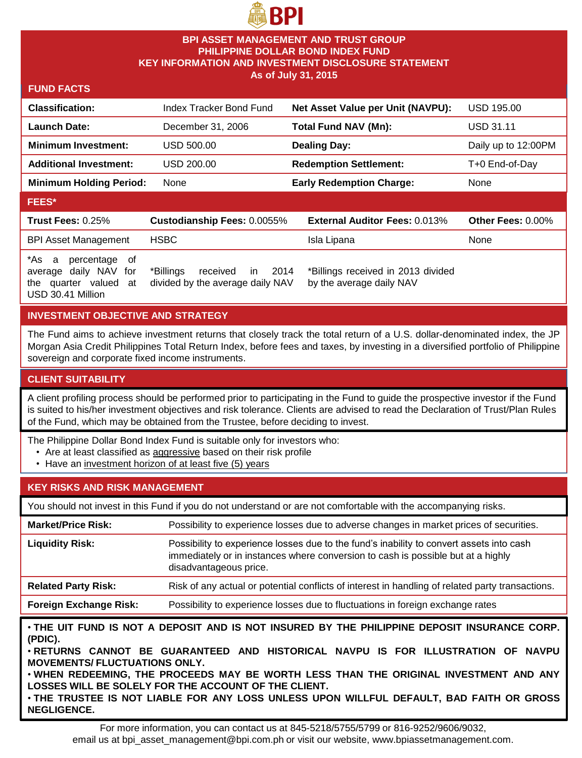

## **BPI ASSET MANAGEMENT AND TRUST GROUP PHILIPPINE DOLLAR BOND INDEX FUND KEY INFORMATION AND INVESTMENT DISCLOSURE STATEMENT As of July 31, 2015**

#### **FUND FACTS**

| <b>Classification:</b>                                                                                     | Index Tracker Bond Fund                                                        | Net Asset Value per Unit (NAVPU):                              | <b>USD 195.00</b>   |
|------------------------------------------------------------------------------------------------------------|--------------------------------------------------------------------------------|----------------------------------------------------------------|---------------------|
| <b>Launch Date:</b>                                                                                        | December 31, 2006                                                              | <b>Total Fund NAV (Mn):</b>                                    | <b>USD 31.11</b>    |
| <b>Minimum Investment:</b>                                                                                 | USD 500.00                                                                     | <b>Dealing Day:</b>                                            | Daily up to 12:00PM |
| <b>Additional Investment:</b>                                                                              | USD 200.00                                                                     | <b>Redemption Settlement:</b>                                  | T+0 End-of-Day      |
| <b>Minimum Holding Period:</b>                                                                             | None                                                                           | <b>Early Redemption Charge:</b>                                | None                |
| <b>FEES*</b>                                                                                               |                                                                                |                                                                |                     |
| <b>Trust Fees: 0.25%</b>                                                                                   | Custodianship Fees: 0.0055%                                                    | <b>External Auditor Fees: 0.013%</b>                           | Other Fees: 0.00%   |
| <b>BPI Asset Management</b>                                                                                | <b>HSBC</b>                                                                    | Isla Lipana                                                    | None                |
| *As:<br>percentage of<br>a<br>daily NAV for<br>average<br>quarter valued<br>at<br>the<br>USD 30.41 Million | 2014<br>*Billings<br><i>in</i><br>received<br>divided by the average daily NAV | *Billings received in 2013 divided<br>by the average daily NAV |                     |

## **INVESTMENT OBJECTIVE AND STRATEGY**

The Fund aims to achieve investment returns that closely track the total return of a U.S. dollar-denominated index, the JP Morgan Asia Credit Philippines Total Return Index, before fees and taxes, by investing in a diversified portfolio of Philippine sovereign and corporate fixed income instruments.

## **CLIENT SUITABILITY**

A client profiling process should be performed prior to participating in the Fund to guide the prospective investor if the Fund is suited to his/her investment objectives and risk tolerance. Clients are advised to read the Declaration of Trust/Plan Rules of the Fund, which may be obtained from the Trustee, before deciding to invest.

- The Philippine Dollar Bond Index Fund is suitable only for investors who:
	- Are at least classified as aggressive based on their risk profile
	- Have an investment horizon of at least five (5) years

## **KEY RISKS AND RISK MANAGEMENT**

You should not invest in this Fund if you do not understand or are not comfortable with the accompanying risks.

| <b>Market/Price Risk:</b>     | Possibility to experience losses due to adverse changes in market prices of securities.                                                                                                                |
|-------------------------------|--------------------------------------------------------------------------------------------------------------------------------------------------------------------------------------------------------|
| <b>Liquidity Risk:</b>        | Possibility to experience losses due to the fund's inability to convert assets into cash<br>immediately or in instances where conversion to cash is possible but at a highly<br>disadvantageous price. |
| <b>Related Party Risk:</b>    | Risk of any actual or potential conflicts of interest in handling of related party transactions.                                                                                                       |
| <b>Foreign Exchange Risk:</b> | Possibility to experience losses due to fluctuations in foreign exchange rates                                                                                                                         |

• **THE UIT FUND IS NOT A DEPOSIT AND IS NOT INSURED BY THE PHILIPPINE DEPOSIT INSURANCE CORP. (PDIC).**

• **RETURNS CANNOT BE GUARANTEED AND HISTORICAL NAVPU IS FOR ILLUSTRATION OF NAVPU MOVEMENTS/ FLUCTUATIONS ONLY.**

• **WHEN REDEEMING, THE PROCEEDS MAY BE WORTH LESS THAN THE ORIGINAL INVESTMENT AND ANY LOSSES WILL BE SOLELY FOR THE ACCOUNT OF THE CLIENT.**

• **THE TRUSTEE IS NOT LIABLE FOR ANY LOSS UNLESS UPON WILLFUL DEFAULT, BAD FAITH OR GROSS NEGLIGENCE.**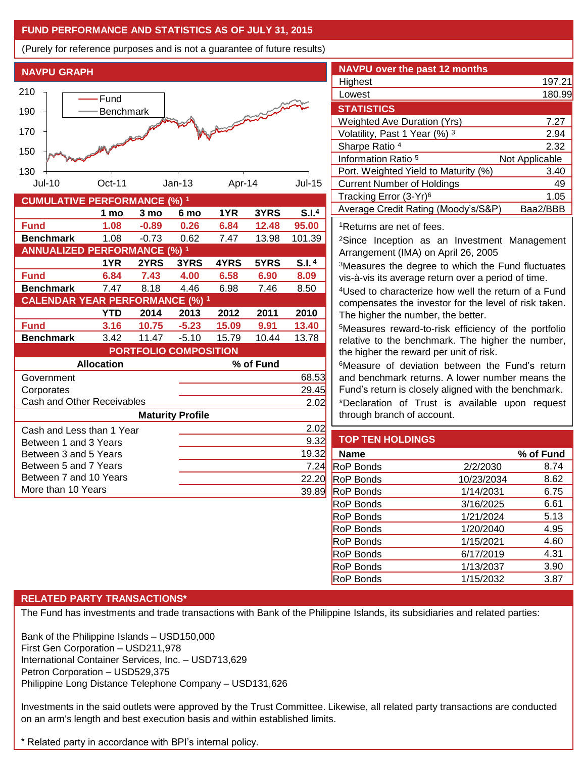## **FUND PERFORMANCE AND STATISTICS AS OF JULY 31, 2015**

(Purely for reference purposes and is not a guarantee of future results)

**NAVPU GRAPH**



| COMOLATIVE FERFORMANCE (70)                        |      |         |         |           |       |        |  |
|----------------------------------------------------|------|---------|---------|-----------|-------|--------|--|
|                                                    | 1 mo | 3 mo    | 6 mo    | 1YR       | 3YRS  | S.I.4  |  |
| <b>Fund</b>                                        | 1.08 | $-0.89$ | 0.26    | 6.84      | 12.48 | 95.00  |  |
| <b>Benchmark</b>                                   | 1.08 | $-0.73$ | 0.62    | 7.47      | 13.98 | 101.39 |  |
| <b>ANNUALIZED PERFORMANCE (%) 1</b>                |      |         |         |           |       |        |  |
|                                                    | 1YR  | 2YRS    | 3YRS    | 4YRS      | 5YRS  | S.I.4  |  |
| <b>Fund</b>                                        | 6.84 | 7.43    | 4.00    | 6.58      | 6.90  | 8.09   |  |
| <b>Benchmark</b>                                   | 7.47 | 8.18    | 4.46    | 6.98      | 7.46  | 8.50   |  |
| <b>CALENDAR YEAR PERFORMANCE (%) 1</b>             |      |         |         |           |       |        |  |
|                                                    | YTD  | 2014    | 2013    | 2012      | 2011  | 2010   |  |
| <b>Fund</b>                                        | 3.16 | 10.75   | $-5.23$ | 15.09     | 9.91  | 13.40  |  |
| <b>Benchmark</b>                                   | 3.42 | 11.47   | $-5.10$ | 15.79     | 10.44 | 13.78  |  |
| <b>PORTFOLIO COMPOSITION</b>                       |      |         |         |           |       |        |  |
| <b>Allocation</b>                                  |      |         |         | % of Fund |       |        |  |
| Government                                         |      |         |         |           |       | 68.53  |  |
| Corporates                                         |      |         |         |           |       | 29.45  |  |
| <b>Cash and Other Receivables</b>                  |      |         |         |           |       | 2.02   |  |
| <b>Maturity Profile</b>                            |      |         |         |           |       |        |  |
| Cash and Less than 1 Year<br>Between 1 and 3 Years |      |         |         |           |       | 2.02   |  |
|                                                    |      |         |         |           |       | 9.32   |  |
| Between 3 and 5 Years                              |      |         |         |           |       | 19.32  |  |
| Between 5 and 7 Years                              |      |         |         | 7.24      |       |        |  |
| Between 7 and 10 Years                             |      |         |         | 22.20     |       |        |  |
| More than 10 Years                                 |      |         |         |           | 39.89 |        |  |

| <b>NAVPU over the past 12 months</b>                                                                                                                           |        |  |  |  |
|----------------------------------------------------------------------------------------------------------------------------------------------------------------|--------|--|--|--|
| Highest                                                                                                                                                        | 197.21 |  |  |  |
| Lowest                                                                                                                                                         | 180.99 |  |  |  |
| <b>STATISTICS</b>                                                                                                                                              |        |  |  |  |
| <b>Weighted Ave Duration (Yrs)</b>                                                                                                                             | 7.27   |  |  |  |
| Volatility, Past 1 Year (%) 3                                                                                                                                  | 2.94   |  |  |  |
| Sharpe Ratio 4                                                                                                                                                 | 2.32   |  |  |  |
| Information Ratio 5<br>Not Applicable                                                                                                                          |        |  |  |  |
| Port. Weighted Yield to Maturity (%)                                                                                                                           | 3.40   |  |  |  |
| <b>Current Number of Holdings</b>                                                                                                                              | 49     |  |  |  |
| Tracking Error (3-Yr) <sup>6</sup>                                                                                                                             | 1.05   |  |  |  |
| Average Credit Rating (Moody's/S&P)<br>Baa2/BBB                                                                                                                |        |  |  |  |
| <sup>1</sup> Returns are net of fees.                                                                                                                          |        |  |  |  |
| <sup>2</sup> Since Inception as an Investment Management<br>Arrangement (IMA) on April 26, 2005                                                                |        |  |  |  |
| <sup>3</sup> Measures the degree to which the Fund fluctuates                                                                                                  |        |  |  |  |
| vis-à-vis its average return over a period of time.                                                                                                            |        |  |  |  |
| <sup>4</sup> Used to characterize how well the return of a Fund<br>compensates the investor for the level of risk taken.<br>The higher the number, the better. |        |  |  |  |
|                                                                                                                                                                |        |  |  |  |

<sup>5</sup>Measures reward-to-risk efficiency of the portfolio relative to the benchmark. The higher the number, the higher the reward per unit of risk.

<sup>6</sup>Measure of deviation between the Fund's return and benchmark returns. A lower number means the Fund's return is closely aligned with the benchmark.

\*Declaration of Trust is available upon request through branch of account.

## **TOP TEN HOLDINGS**

| <b>Name</b>      |            | % of Fund |
|------------------|------------|-----------|
| <b>RoP Bonds</b> | 2/2/2030   | 8.74      |
| <b>RoP Bonds</b> | 10/23/2034 | 8.62      |
| <b>RoP Bonds</b> | 1/14/2031  | 6.75      |
| <b>RoP Bonds</b> | 3/16/2025  | 6.61      |
| <b>RoP Bonds</b> | 1/21/2024  | 5.13      |
| <b>RoP Bonds</b> | 1/20/2040  | 4.95      |
| <b>RoP Bonds</b> | 1/15/2021  | 4.60      |
| <b>RoP Bonds</b> | 6/17/2019  | 4.31      |
| <b>RoP Bonds</b> | 1/13/2037  | 3.90      |
| <b>RoP Bonds</b> | 1/15/2032  | 3.87      |

## **RELATED PARTY TRANSACTIONS\***

The Fund has investments and trade transactions with Bank of the Philippine Islands, its subsidiaries and related parties:

Bank of the Philippine Islands – USD150,000 First Gen Corporation – USD211,978 International Container Services, Inc. – USD713,629 Petron Corporation – USD529,375 Philippine Long Distance Telephone Company – USD131,626

Investments in the said outlets were approved by the Trust Committee. Likewise, all related party transactions are conducted on an arm's length and best execution basis and within established limits.

\* Related party in accordance with BPI's internal policy.